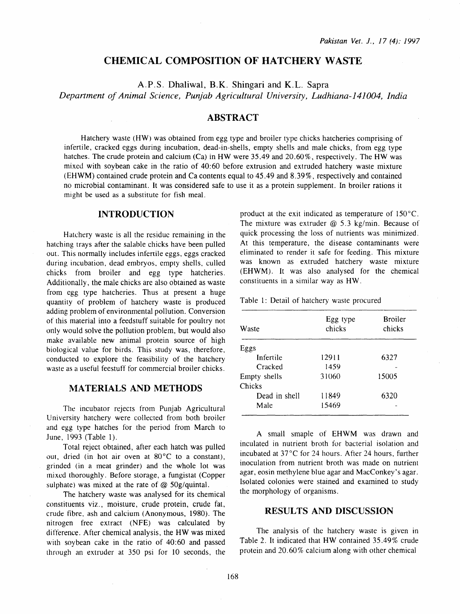# CHEMICAL COMPOSITION OF HATCHERY WASTE

A.P.S. Dhaliwal, B.K. Shingari and K.L. Sapra

*Department of Animal Science, Punjab Agricultural University, Ludhiana-141004, India* 

# ABSTRACT

Hatchery waste (HW) was obtained from egg type and broiler type chicks hatcheries comprising of infertile, cracked eggs during incubation, dead-in-shells, empty shells and male chicks, from egg type hatches. The crude protein and calcium (Ca) in HW were 35.49 and 20.60%, respectively. The HW was mixed with soybean cake in the ratio of 40:60 before extrusion and extruded hatchery waste mixture (EHWM) contained crude protein and Ca contents equal to 45.49 and 8.39%, respectively and contained no microbial contaminant. It was considered safe to use it as a protein supplement. In broiler rations it might be used as a substitute for fish meal.

# INTRODUCTION

Hatchery waste is all the residue remaining in the hatching trays after the salable chicks have been pulled out. This normally includes infertile eggs, eggs cracked during incubation, dead embryos, empty shells, culled chicks from broiler and egg type hatcheries. Additionally, the male chicks are also obtained as waste from egg type hatcheries. Thus at present a huge quantity of problem of hatchery waste is produced adding problem of environmental pollution. Conversion of this material into a feedstuff suitable for poultry not only would solve the pollution problem, but would also make available new animal protein source of high biological value for birds. This study was, therefore, conducted to explore the feasibility of the hatchery waste as a useful feestuff for commercial broiler chicks.

### MATERIALS AND METHODS

The incubator rejects from Punjab Agricultural University hatchery were collected from both broiler and egg type hatches for the period from March to June, 1993 (Table 1).

Total reject obtained, after each hatch was pulled out, dried (in hot air oven at 80°C to a constant), grinded (in a meat grinder) and the whole lot was mixed thoroughly. Before storage, a fungistat (Copper sulphate) was mixed at the rate of  $@$  50g/quintal.

The hatchery waste was analysed for its chemical constituents viz., moisture, crude protein, crude fat, crude fibre, ash and calcium (Anonymous, 1980). The nitrogen free extract (NFE) was calculated by difference. After chemical analysis, the HW was mixed with soybean cake in the ratio of 40:60 and passed through an extruder at 350 psi for 10 seconds, the

product at the exit indicated as temperature of 150°C. The mixture was extruder  $@$  5.3 kg/min. Because of quick processing the loss of nutrients was minimized. At this temperature, the disease contaminants were eliminated to render it safe for feeding. This mixture was known as extruded hatchery waste mixture (EHWM). It was also analysed for the chemical constituents in a similar way as HW.

Table 1: Detail of hatchery waste procured

| Egg type<br>chicks | Broiler<br>chicks |  |  |
|--------------------|-------------------|--|--|
|                    |                   |  |  |
| 12911              | 6327              |  |  |
| 1459               |                   |  |  |
| 31060              | 15005             |  |  |
|                    |                   |  |  |
| 11849              | 6320              |  |  |
| 15469              |                   |  |  |
|                    |                   |  |  |

A small smaple of EHWM was drawn and inculated in nutrient broth for bacterial isolation and incubated at 37°C for 24 hours. After 24 hours, further inoculation from nutrient broth was made on nutrient agar, eosin methylene blue agar and MacConkey's agar. Isolated colonies were stained and examined to study the morphology of organisms.

#### RESULTS AND DISCUSSION

The analysis of the hatchery wasre is given in Table 2. It indicated that HW contained 35.49% crude protein and 20.60% calcium along with other chemical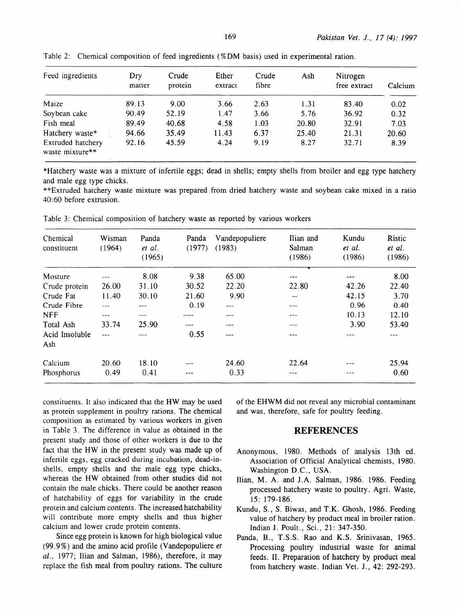| Feed ingredients                     | Dry<br>matter | Crude<br>protein | Ether<br>extract | Crude<br>fibre | Ash   | Nitrogen<br>free extract | Calcium |
|--------------------------------------|---------------|------------------|------------------|----------------|-------|--------------------------|---------|
| Maize                                | 89.13         | 9.00             | 3.66             | 2.63           | 1.31  | 83.40                    | 0.02    |
| Soybean cake                         | 90.49         | 52.19            | 1.47             | 3.66           | 5.76  | 36.92                    | 0.32    |
| Fish meal                            | 89.49         | 40.68            | 4.58             | 1.03           | 20.80 | 32.91                    | 7.03    |
| Hatchery waste*                      | 94.66         | 35.49            | 11.43            | 6.37           | 25.40 | 21.31                    | 20.60   |
| Extruded hatchery<br>waste mixture** | 92.16         | 45.59            | 4.24             | 9.19           | 8.27  | 32.71                    | 8.39    |

Table 2: Chemical composition of feed ingredients (% DM basis) used in experimental ration.

\*Hatchery waste was a mixture of infertile eggs; dead in shells; empty shells from broiler and egg type hatchery and male egg type chicks.

\*\*Extruded hatchery waste mixture was prepared from dried hatchery waste and soybean cake mixed in a ratio 40:60 before extrusion.

| Chemical<br>constituent | Wisman<br>(1964) | Panda<br>et al.<br>(1965) | Panda<br>(1977) | Vandepopuliere<br>(1983) | Ilian and<br>Salman<br>(1986) | Kundu<br>et al.<br>(1986) | Ristic<br>et al.<br>(1986) |
|-------------------------|------------------|---------------------------|-----------------|--------------------------|-------------------------------|---------------------------|----------------------------|
| Mosture                 | ---              | 8.08                      | 9.38            | 65.00                    | ---                           | ---                       | 8.00                       |
| Crude protein           | 26.00            | 31.10                     | 30.52           | 22.20                    | 22.80                         | 42.26                     | 22.40                      |
| Crude Fat               | 11.40            | 30.10                     | 21.60           | 9.90                     | --                            | 42.15                     | 3.70                       |
| Crude Fibre             |                  | $---$                     | 0.19            | $- - -$                  | $---$                         | 0.96                      | 0.40                       |
| <b>NFF</b>              | ---              |                           |                 |                          | ---                           | 10.13                     | 12.10                      |
| Total Ash               | 33.74            | 25.90                     | ---             |                          | ---                           | 3.90                      | 53.40                      |
| Acid Insoluble          | $- - -$          |                           | 0.55            | ---                      | ---                           |                           |                            |
| Ash                     |                  |                           |                 |                          |                               |                           |                            |
| Calcium                 | 20.60            | 18.10                     |                 | 24.60                    | 22.64                         |                           | 25.94                      |
| Phosphorus              | 0.49             | 0.41                      | ---             | 0.33                     | $---$                         |                           | 0.60                       |

Table 3: Chemical composition of hatchery waste as reported by various workers

constituents. It also indicated that the HW may be used as protein supplement in poultry rations. The chemical composition as estimated by various workers in given in Table 3. The difference in value as obtained in the present study and those of other workers is due to the fact that the HW in the present study was made up of infertile eggs, egg cracked during incubation, dead-inshells, empty shells and the male egg type chicks, whereas the HW obtained from other studies did not contain the male chicks. There could be another reason of hatchability of eggs for variability in the crude protein and calcium contents. The increased hatchability will contribute more empty shells and thus higher calcium and lower crude protein contents.

Since egg protein is known for high biological value (99. 9%) and the amino acid profile (V andepopuliere *et*  al., 1977; Ilian and Salman, 1986), therefore, it may replace the fish meal from poultry rations. The culture of the EHWM did not reveal any microbial contaminant and was, therefore, safe for poultry feeding.

#### **REFERENCES**

- Anonymous, 1980. Methods of analysis 13th ed. Association of Official Analytical chemists, 1980. Washington D.C., USA.
- Ilian, M. A. and J.A. Salman, 1986. 1986. Feeding processed hatchery waste to poultry. Agri. Waste, 15: 179-186.
- Kundu, S., S. Biwas, and T .K. Ghosh, 1986. Feeding value of hatchery by product meal in broiler ration. Indian J. Poult., Sci., 21: 347-350.
- Panda, B., T.S.S. Rao and K.S. Srinivasan, 1965. Processing poultry industrial waste for animal feeds. II. Preparation of hatchery by product meal from hatchery waste. Indian Vet. J., 42: 292-293.